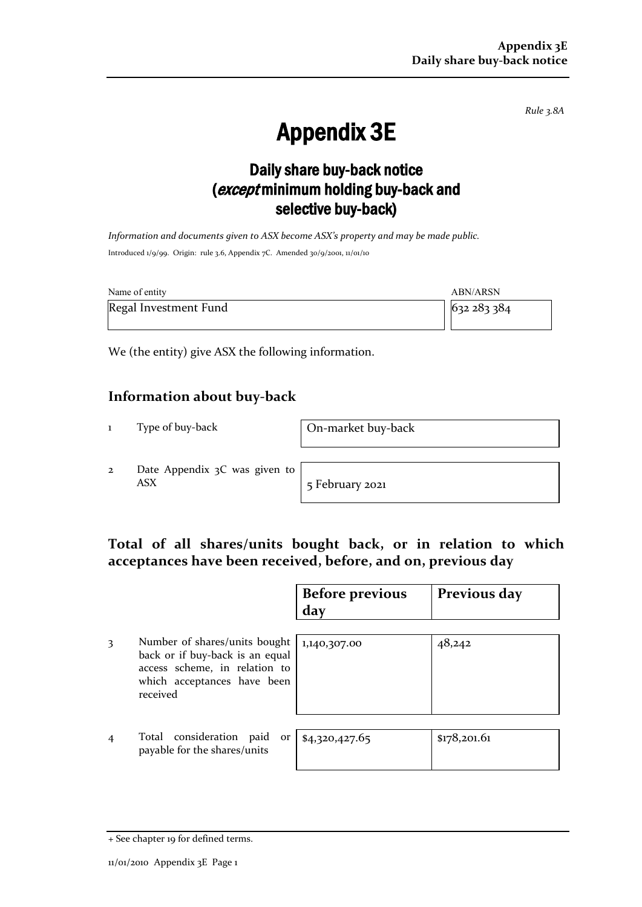*Rule 3.8A*

# Appendix 3E

## Daily share buy-back notice (except minimum holding buy-back and selective buy-back)

*Information and documents given to ASX become ASX's property and may be made public.* Introduced 1/9/99. Origin: rule 3.6, Appendix 7C. Amended 30/9/2001, 11/01/10

| Name of entity        | ABN/ARSN  |
|-----------------------|-----------|
| Regal Investment Fund | 632283384 |

We (the entity) give ASX the following information.

### **Information about buy-back**

1 Type of buy-back On-market buy-back

2 Date Appendix 3C was given to ASX 5 February 2021

### **Total of all shares/units bought back, or in relation to which acceptances have been received, before, and on, previous day**

|                |                                                                                                                                              | <b>Before previous</b><br>day | Previous day |
|----------------|----------------------------------------------------------------------------------------------------------------------------------------------|-------------------------------|--------------|
| 3              | Number of shares/units bought<br>back or if buy-back is an equal<br>access scheme, in relation to<br>which acceptances have been<br>received | 1,140,307.00                  | 48,242       |
| $\overline{4}$ | Total consideration paid<br>or<br>payable for the shares/units                                                                               | \$4,320,427.65                | \$178,201.61 |

<sup>+</sup> See chapter 19 for defined terms.